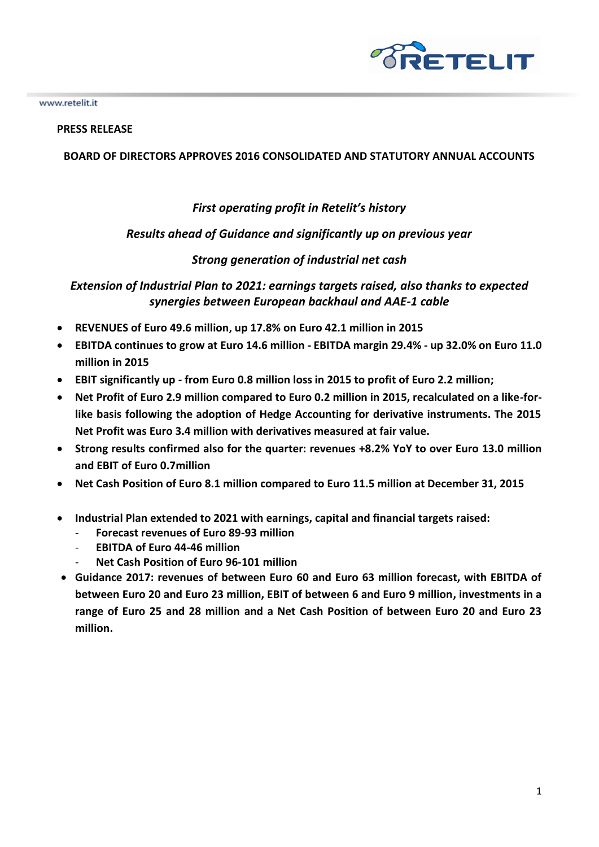

## **PRESS RELEASE**

## **BOARD OF DIRECTORS APPROVES 2016 CONSOLIDATED AND STATUTORY ANNUAL ACCOUNTS**

## *First operating profit in Retelit's history*

## *Results ahead of Guidance and significantly up on previous year*

## *Strong generation of industrial net cash*

*Extension of Industrial Plan to 2021: earnings targets raised, also thanks to expected synergies between European backhaul and AAE-1 cable* 

- **REVENUES of Euro 49.6 million, up 17.8% on Euro 42.1 million in 2015**
- **EBITDA continues to grow at Euro 14.6 million - EBITDA margin 29.4% - up 32.0% on Euro 11.0 million in 2015**
- **EBIT significantly up - from Euro 0.8 million loss in 2015 to profit of Euro 2.2 million;**
- **Net Profit of Euro 2.9 million compared to Euro 0.2 million in 2015, recalculated on a like-forlike basis following the adoption of Hedge Accounting for derivative instruments. The 2015 Net Profit was Euro 3.4 million with derivatives measured at fair value.**
- **Strong results confirmed also for the quarter: revenues +8.2% YoY to over Euro 13.0 million and EBIT of Euro 0.7million**
- **Net Cash Position of Euro 8.1 million compared to Euro 11.5 million at December 31, 2015**
- **Industrial Plan extended to 2021 with earnings, capital and financial targets raised:**
	- **Forecast revenues of Euro 89-93 million**
	- **EBITDA of Euro 44-46 million**
	- **Net Cash Position of Euro 96-101 million**
- **Guidance 2017: revenues of between Euro 60 and Euro 63 million forecast, with EBITDA of between Euro 20 and Euro 23 million, EBIT of between 6 and Euro 9 million, investments in a range of Euro 25 and 28 million and a Net Cash Position of between Euro 20 and Euro 23 million.**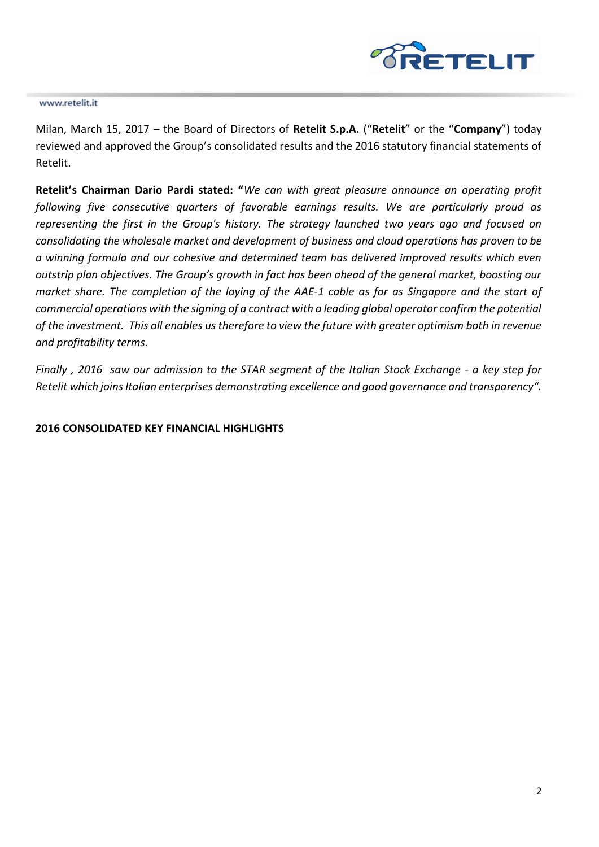

Milan, March 15, 2017 **–** the Board of Directors of **Retelit S.p.A.** ("**Retelit**" or the "**Company**") today reviewed and approved the Group's consolidated results and the 2016 statutory financial statements of Retelit.

**Retelit's Chairman Dario Pardi stated: "***We can with great pleasure announce an operating profit following five consecutive quarters of favorable earnings results. We are particularly proud as representing the first in the Group's history. The strategy launched two years ago and focused on consolidating the wholesale market and development of business and cloud operations has proven to be a winning formula and our cohesive and determined team has delivered improved results which even outstrip plan objectives. The Group's growth in fact has been ahead of the general market, boosting our market share. The completion of the laying of the AAE-1 cable as far as Singapore and the start of commercial operations with the signing of a contract with a leading global operator confirm the potential of the investment. This all enables us therefore to view the future with greater optimism both in revenue and profitability terms.* 

*Finally , 2016 saw our admission to the STAR segment of the Italian Stock Exchange - a key step for Retelit which joins Italian enterprises demonstrating excellence and good governance and transparency".* 

## **2016 CONSOLIDATED KEY FINANCIAL HIGHLIGHTS**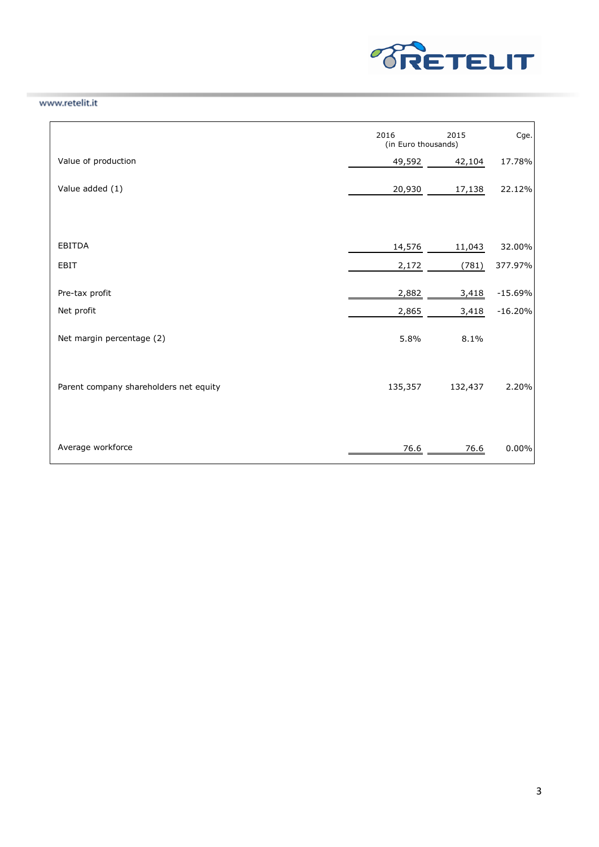

|                                        | 2016<br>2015<br>(in Euro thousands) |         | Cge.      |
|----------------------------------------|-------------------------------------|---------|-----------|
| Value of production                    | 49,592                              | 42,104  | 17.78%    |
| Value added (1)                        | 20,930                              | 17,138  | 22.12%    |
| EBITDA                                 | 14,576                              | 11,043  | 32.00%    |
| EBIT                                   | 2,172                               | (781)   | 377.97%   |
| Pre-tax profit                         | 2,882                               | 3,418   | $-15.69%$ |
| Net profit                             | 2,865                               | 3,418   | $-16.20%$ |
| Net margin percentage (2)              | 5.8%                                | 8.1%    |           |
| Parent company shareholders net equity | 135,357                             | 132,437 | 2.20%     |
| Average workforce                      | 76.6                                | 76.6    | 0.00%     |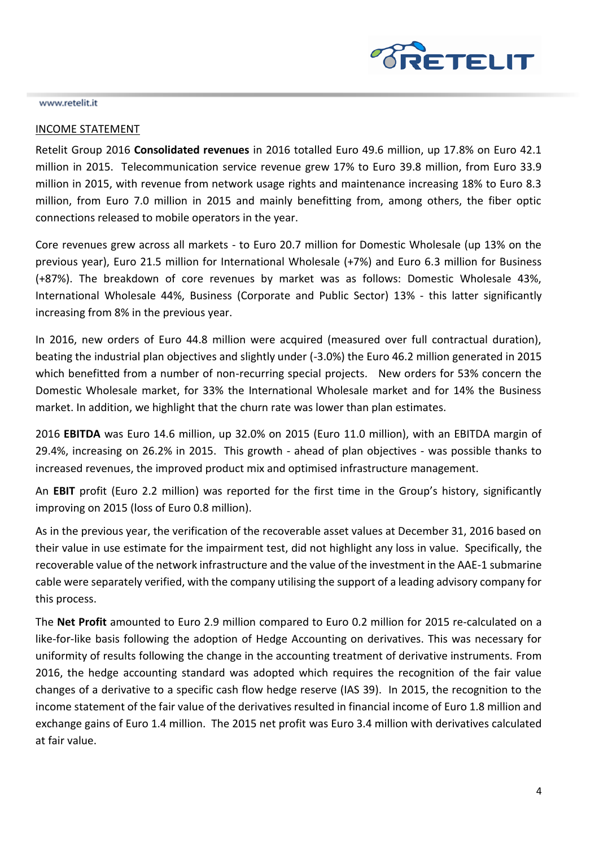

#### INCOME STATEMENT

Retelit Group 2016 **Consolidated revenues** in 2016 totalled Euro 49.6 million, up 17.8% on Euro 42.1 million in 2015. Telecommunication service revenue grew 17% to Euro 39.8 million, from Euro 33.9 million in 2015, with revenue from network usage rights and maintenance increasing 18% to Euro 8.3 million, from Euro 7.0 million in 2015 and mainly benefitting from, among others, the fiber optic connections released to mobile operators in the year.

Core revenues grew across all markets - to Euro 20.7 million for Domestic Wholesale (up 13% on the previous year), Euro 21.5 million for International Wholesale (+7%) and Euro 6.3 million for Business (+87%). The breakdown of core revenues by market was as follows: Domestic Wholesale 43%, International Wholesale 44%, Business (Corporate and Public Sector) 13% - this latter significantly increasing from 8% in the previous year.

In 2016, new orders of Euro 44.8 million were acquired (measured over full contractual duration), beating the industrial plan objectives and slightly under (-3.0%) the Euro 46.2 million generated in 2015 which benefitted from a number of non-recurring special projects. New orders for 53% concern the Domestic Wholesale market, for 33% the International Wholesale market and for 14% the Business market. In addition, we highlight that the churn rate was lower than plan estimates.

2016 **EBITDA** was Euro 14.6 million, up 32.0% on 2015 (Euro 11.0 million), with an EBITDA margin of 29.4%, increasing on 26.2% in 2015. This growth - ahead of plan objectives - was possible thanks to increased revenues, the improved product mix and optimised infrastructure management.

An **EBIT** profit (Euro 2.2 million) was reported for the first time in the Group's history, significantly improving on 2015 (loss of Euro 0.8 million).

As in the previous year, the verification of the recoverable asset values at December 31, 2016 based on their value in use estimate for the impairment test, did not highlight any loss in value. Specifically, the recoverable value of the network infrastructure and the value of the investment in the AAE-1 submarine cable were separately verified, with the company utilising the support of a leading advisory company for this process.

The **Net Profit** amounted to Euro 2.9 million compared to Euro 0.2 million for 2015 re-calculated on a like-for-like basis following the adoption of Hedge Accounting on derivatives. This was necessary for uniformity of results following the change in the accounting treatment of derivative instruments. From 2016, the hedge accounting standard was adopted which requires the recognition of the fair value changes of a derivative to a specific cash flow hedge reserve (IAS 39). In 2015, the recognition to the income statement of the fair value of the derivatives resulted in financial income of Euro 1.8 million and exchange gains of Euro 1.4 million. The 2015 net profit was Euro 3.4 million with derivatives calculated at fair value.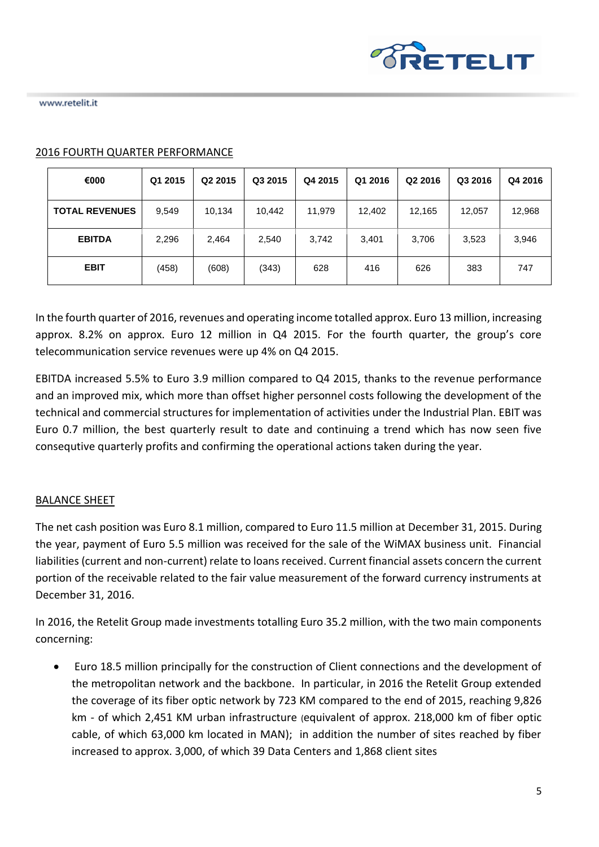

| €000                  | Q1 2015 | Q <sub>2</sub> 2015 | Q3 2015 | Q4 2015 | Q1 2016 | Q <sub>2</sub> 2016 | Q3 2016 | Q4 2016 |
|-----------------------|---------|---------------------|---------|---------|---------|---------------------|---------|---------|
| <b>TOTAL REVENUES</b> | 9,549   | 10,134              | 10,442  | 11,979  | 12,402  | 12,165              | 12,057  | 12,968  |
| <b>EBITDA</b>         | 2,296   | 2,464               | 2,540   | 3,742   | 3,401   | 3,706               | 3,523   | 3,946   |
| <b>EBIT</b>           | (458)   | (608)               | (343)   | 628     | 416     | 626                 | 383     | 747     |

## 2016 FOURTH QUARTER PERFORMANCE

In the fourth quarter of 2016, revenues and operating income totalled approx. Euro 13 million, increasing approx. 8.2% on approx. Euro 12 million in Q4 2015. For the fourth quarter, the group's core telecommunication service revenues were up 4% on Q4 2015.

EBITDA increased 5.5% to Euro 3.9 million compared to Q4 2015, thanks to the revenue performance and an improved mix, which more than offset higher personnel costs following the development of the technical and commercial structures for implementation of activities under the Industrial Plan. EBIT was Euro 0.7 million, the best quarterly result to date and continuing a trend which has now seen five consequtive quarterly profits and confirming the operational actions taken during the year.

## BALANCE SHEET

The net cash position was Euro 8.1 million, compared to Euro 11.5 million at December 31, 2015. During the year, payment of Euro 5.5 million was received for the sale of the WiMAX business unit. Financial liabilities (current and non-current) relate to loans received. Current financial assets concern the current portion of the receivable related to the fair value measurement of the forward currency instruments at December 31, 2016.

In 2016, the Retelit Group made investments totalling Euro 35.2 million, with the two main components concerning:

• Euro 18.5 million principally for the construction of Client connections and the development of the metropolitan network and the backbone. In particular, in 2016 the Retelit Group extended the coverage of its fiber optic network by 723 KM compared to the end of 2015, reaching 9,826 km - of which 2,451 KM urban infrastructure (equivalent of approx. 218,000 km of fiber optic cable, of which 63,000 km located in MAN); in addition the number of sites reached by fiber increased to approx. 3,000, of which 39 Data Centers and 1,868 client sites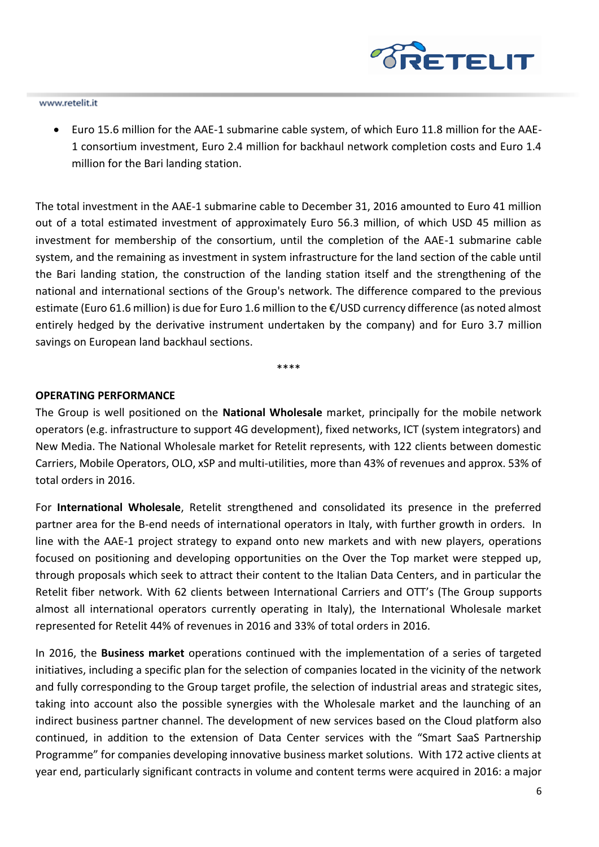

• Euro 15.6 million for the AAE-1 submarine cable system, of which Euro 11.8 million for the AAE-1 consortium investment, Euro 2.4 million for backhaul network completion costs and Euro 1.4 million for the Bari landing station.

The total investment in the AAE-1 submarine cable to December 31, 2016 amounted to Euro 41 million out of a total estimated investment of approximately Euro 56.3 million, of which USD 45 million as investment for membership of the consortium, until the completion of the AAE-1 submarine cable system, and the remaining as investment in system infrastructure for the land section of the cable until the Bari landing station, the construction of the landing station itself and the strengthening of the national and international sections of the Group's network. The difference compared to the previous estimate (Euro 61.6 million) is due for Euro 1.6 million to the €/USD currency difference (as noted almost entirely hedged by the derivative instrument undertaken by the company) and for Euro 3.7 million savings on European land backhaul sections.

\*\*\*\*

### **OPERATING PERFORMANCE**

The Group is well positioned on the **National Wholesale** market, principally for the mobile network operators (e.g. infrastructure to support 4G development), fixed networks, ICT (system integrators) and New Media. The National Wholesale market for Retelit represents, with 122 clients between domestic Carriers, Mobile Operators, OLO, xSP and multi-utilities, more than 43% of revenues and approx. 53% of total orders in 2016.

For **International Wholesale**, Retelit strengthened and consolidated its presence in the preferred partner area for the B-end needs of international operators in Italy, with further growth in orders. In line with the AAE-1 project strategy to expand onto new markets and with new players, operations focused on positioning and developing opportunities on the Over the Top market were stepped up, through proposals which seek to attract their content to the Italian Data Centers, and in particular the Retelit fiber network. With 62 clients between International Carriers and OTT's (The Group supports almost all international operators currently operating in Italy), the International Wholesale market represented for Retelit 44% of revenues in 2016 and 33% of total orders in 2016.

In 2016, the **Business market** operations continued with the implementation of a series of targeted initiatives, including a specific plan for the selection of companies located in the vicinity of the network and fully corresponding to the Group target profile, the selection of industrial areas and strategic sites, taking into account also the possible synergies with the Wholesale market and the launching of an indirect business partner channel. The development of new services based on the Cloud platform also continued, in addition to the extension of Data Center services with the "Smart SaaS Partnership Programme" for companies developing innovative business market solutions. With 172 active clients at year end, particularly significant contracts in volume and content terms were acquired in 2016: a major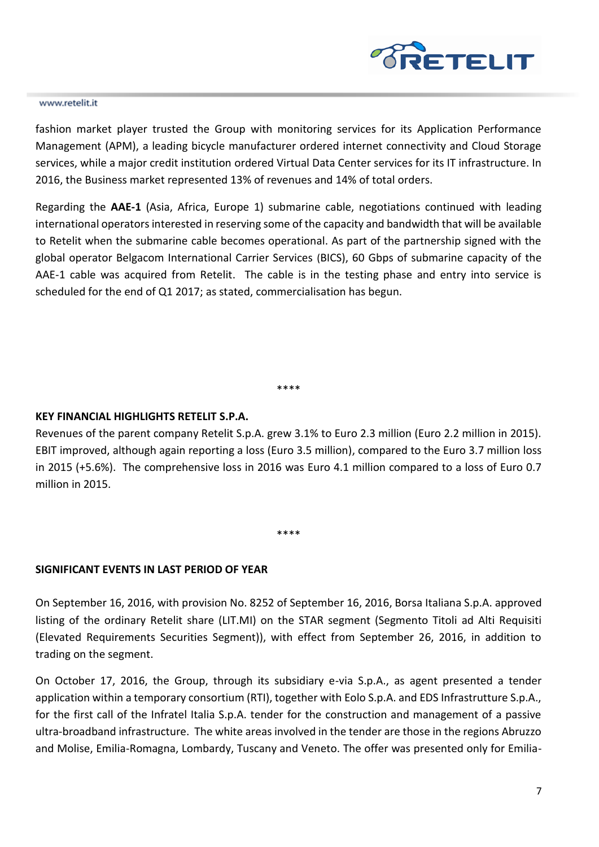

fashion market player trusted the Group with monitoring services for its Application Performance Management (APM), a leading bicycle manufacturer ordered internet connectivity and Cloud Storage services, while a major credit institution ordered Virtual Data Center services for its IT infrastructure. In 2016, the Business market represented 13% of revenues and 14% of total orders.

Regarding the **AAE-1** (Asia, Africa, Europe 1) submarine cable, negotiations continued with leading international operators interested in reserving some of the capacity and bandwidth that will be available to Retelit when the submarine cable becomes operational. As part of the partnership signed with the global operator Belgacom International Carrier Services (BICS), 60 Gbps of submarine capacity of the AAE-1 cable was acquired from Retelit. The cable is in the testing phase and entry into service is scheduled for the end of Q1 2017; as stated, commercialisation has begun.

\*\*\*\*

## **KEY FINANCIAL HIGHLIGHTS RETELIT S.P.A.**

Revenues of the parent company Retelit S.p.A. grew 3.1% to Euro 2.3 million (Euro 2.2 million in 2015). EBIT improved, although again reporting a loss (Euro 3.5 million), compared to the Euro 3.7 million loss in 2015 (+5.6%). The comprehensive loss in 2016 was Euro 4.1 million compared to a loss of Euro 0.7 million in 2015.

\*\*\*\*

## **SIGNIFICANT EVENTS IN LAST PERIOD OF YEAR**

On September 16, 2016, with provision No. 8252 of September 16, 2016, Borsa Italiana S.p.A. approved listing of the ordinary Retelit share (LIT.MI) on the STAR segment (Segmento Titoli ad Alti Requisiti (Elevated Requirements Securities Segment)), with effect from September 26, 2016, in addition to trading on the segment.

On October 17, 2016, the Group, through its subsidiary e-via S.p.A., as agent presented a tender application within a temporary consortium (RTI), together with Eolo S.p.A. and EDS Infrastrutture S.p.A., for the first call of the Infratel Italia S.p.A. tender for the construction and management of a passive ultra-broadband infrastructure. The white areas involved in the tender are those in the regions Abruzzo and Molise, Emilia-Romagna, Lombardy, Tuscany and Veneto. The offer was presented only for Emilia-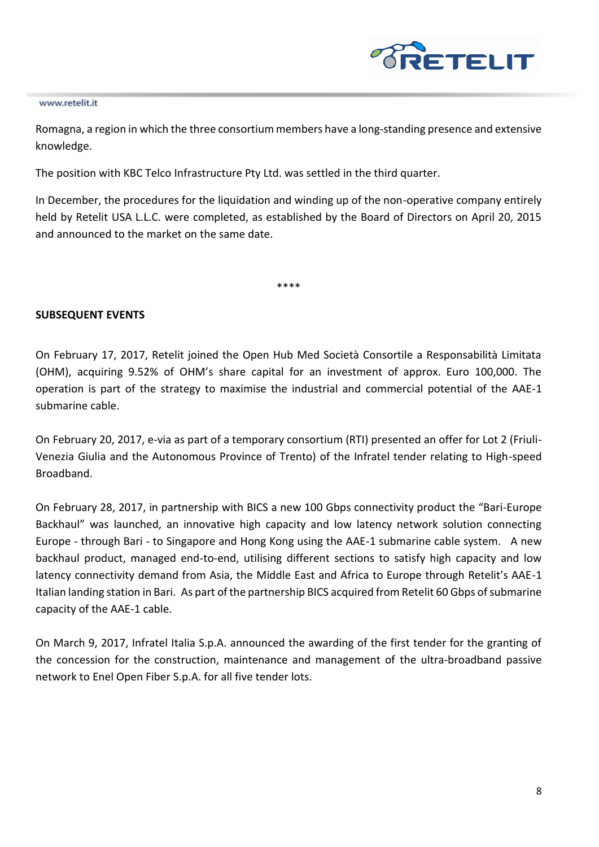

Romagna, a region in which the three consortium members have a long-standing presence and extensive knowledge.

The position with KBC Telco Infrastructure Pty Ltd. was settled in the third quarter.

In December, the procedures for the liquidation and winding up of the non-operative company entirely held by Retelit USA L.L.C. were completed, as established by the Board of Directors on April 20, 2015 and announced to the market on the same date.

\*\*\*\*

## **SUBSEQUENT EVENTS**

On February 17, 2017, Retelit joined the Open Hub Med Società Consortile a Responsabilità Limitata (OHM), acquiring 9.52% of OHM's share capital for an investment of approx. Euro 100,000. The operation is part of the strategy to maximise the industrial and commercial potential of the AAE-1 submarine cable.

On February 20, 2017, e-via as part of a temporary consortium (RTI) presented an offer for Lot 2 (Friuli-Venezia Giulia and the Autonomous Province of Trento) of the Infratel tender relating to High-speed Broadband.

On February 28, 2017, in partnership with BICS a new 100 Gbps connectivity product the "Bari-Europe Backhaul" was launched, an innovative high capacity and low latency network solution connecting Europe - through Bari - to Singapore and Hong Kong using the AAE-1 submarine cable system. A new backhaul product, managed end-to-end, utilising different sections to satisfy high capacity and low latency connectivity demand from Asia, the Middle East and Africa to Europe through Retelit's AAE-1 Italian landing station in Bari. As part of the partnership BICS acquired from Retelit 60 Gbps of submarine capacity of the AAE-1 cable.

On March 9, 2017, Infratel Italia S.p.A. announced the awarding of the first tender for the granting of the concession for the construction, maintenance and management of the ultra-broadband passive network to Enel Open Fiber S.p.A. for all five tender lots.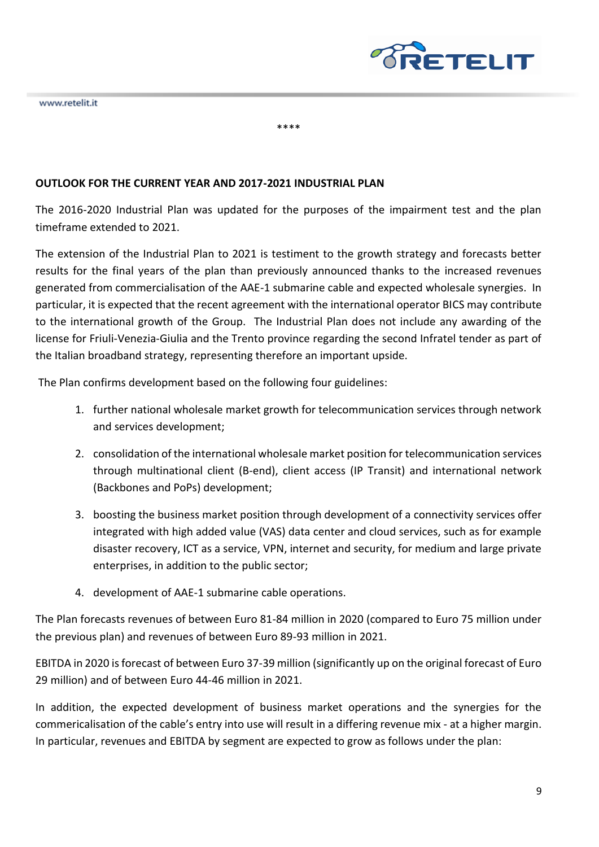

## **OUTLOOK FOR THE CURRENT YEAR AND 2017-2021 INDUSTRIAL PLAN**

The 2016-2020 Industrial Plan was updated for the purposes of the impairment test and the plan timeframe extended to 2021.

\*\*\*\*

The extension of the Industrial Plan to 2021 is testiment to the growth strategy and forecasts better results for the final years of the plan than previously announced thanks to the increased revenues generated from commercialisation of the AAE-1 submarine cable and expected wholesale synergies. In particular, it is expected that the recent agreement with the international operator BICS may contribute to the international growth of the Group. The Industrial Plan does not include any awarding of the license for Friuli-Venezia-Giulia and the Trento province regarding the second Infratel tender as part of the Italian broadband strategy, representing therefore an important upside.

The Plan confirms development based on the following four guidelines:

- 1. further national wholesale market growth for telecommunication services through network and services development;
- 2. consolidation of the international wholesale market position for telecommunication services through multinational client (B-end), client access (IP Transit) and international network (Backbones and PoPs) development;
- 3. boosting the business market position through development of a connectivity services offer integrated with high added value (VAS) data center and cloud services, such as for example disaster recovery, ICT as a service, VPN, internet and security, for medium and large private enterprises, in addition to the public sector;
- 4. development of AAE-1 submarine cable operations.

The Plan forecasts revenues of between Euro 81-84 million in 2020 (compared to Euro 75 million under the previous plan) and revenues of between Euro 89-93 million in 2021.

EBITDA in 2020 is forecast of between Euro 37-39 million (significantly up on the original forecast of Euro 29 million) and of between Euro 44-46 million in 2021.

In addition, the expected development of business market operations and the synergies for the commericalisation of the cable's entry into use will result in a differing revenue mix - at a higher margin. In particular, revenues and EBITDA by segment are expected to grow as follows under the plan: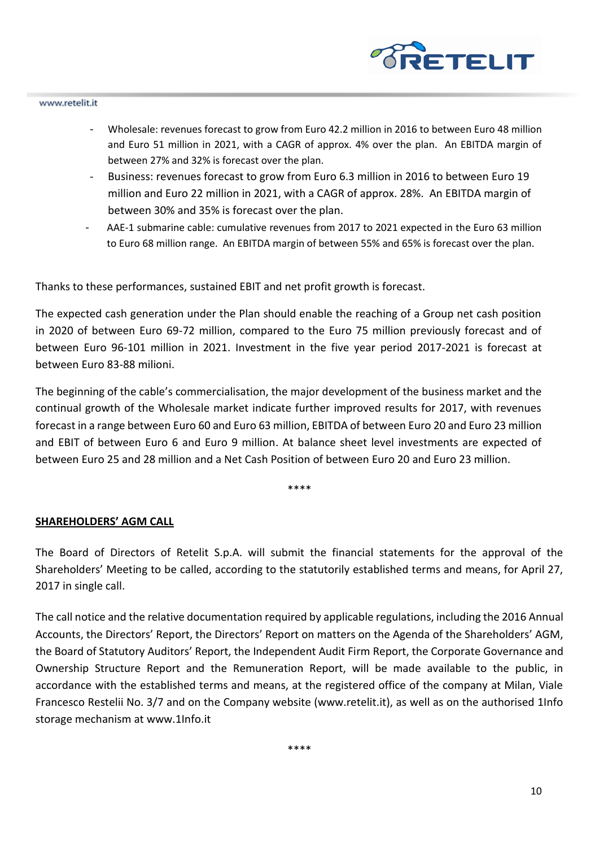

- Wholesale: revenues forecast to grow from Euro 42.2 million in 2016 to between Euro 48 million and Euro 51 million in 2021, with a CAGR of approx. 4% over the plan. An EBITDA margin of between 27% and 32% is forecast over the plan.
- Business: revenues forecast to grow from Euro 6.3 million in 2016 to between Euro 19 million and Euro 22 million in 2021, with a CAGR of approx. 28%. An EBITDA margin of between 30% and 35% is forecast over the plan.
- AAE-1 submarine cable: cumulative revenues from 2017 to 2021 expected in the Euro 63 million to Euro 68 million range. An EBITDA margin of between 55% and 65% is forecast over the plan.

Thanks to these performances, sustained EBIT and net profit growth is forecast.

The expected cash generation under the Plan should enable the reaching of a Group net cash position in 2020 of between Euro 69-72 million, compared to the Euro 75 million previously forecast and of between Euro 96-101 million in 2021. Investment in the five year period 2017-2021 is forecast at between Euro 83-88 milioni.

The beginning of the cable's commercialisation, the major development of the business market and the continual growth of the Wholesale market indicate further improved results for 2017, with revenues forecast in a range between Euro 60 and Euro 63 million, EBITDA of between Euro 20 and Euro 23 million and EBIT of between Euro 6 and Euro 9 million. At balance sheet level investments are expected of between Euro 25 and 28 million and a Net Cash Position of between Euro 20 and Euro 23 million.

\*\*\*\*

### **SHAREHOLDERS' AGM CALL**

The Board of Directors of Retelit S.p.A. will submit the financial statements for the approval of the Shareholders' Meeting to be called, according to the statutorily established terms and means, for April 27, 2017 in single call.

The call notice and the relative documentation required by applicable regulations, including the 2016 Annual Accounts, the Directors' Report, the Directors' Report on matters on the Agenda of the Shareholders' AGM, the Board of Statutory Auditors' Report, the Independent Audit Firm Report, the Corporate Governance and Ownership Structure Report and the Remuneration Report, will be made available to the public, in accordance with the established terms and means, at the registered office of the company at Milan, Viale Francesco Restelii No. 3/7 and on the Company website (www.retelit.it), as well as on the authorised 1Info storage mechanism at www.1Info.it

\*\*\*\*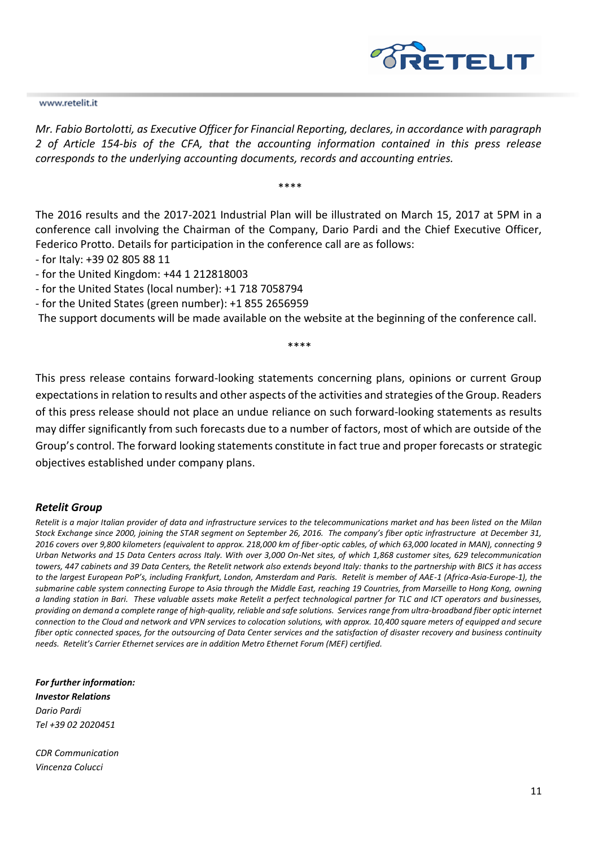

*Mr. Fabio Bortolotti, as Executive Officer for Financial Reporting, declares, in accordance with paragraph 2 of Article 154-bis of the CFA, that the accounting information contained in this press release corresponds to the underlying accounting documents, records and accounting entries.*

\*\*\*\*

The 2016 results and the 2017-2021 Industrial Plan will be illustrated on March 15, 2017 at 5PM in a conference call involving the Chairman of the Company, Dario Pardi and the Chief Executive Officer, Federico Protto. Details for participation in the conference call are as follows:

- for Italy: +39 02 805 88 11
- for the United Kingdom: +44 1 212818003
- for the United States (local number): +1 718 7058794
- for the United States (green number): +1 855 2656959

The support documents will be made available on the website at the beginning of the conference call.

\*\*\*\*

This press release contains forward-looking statements concerning plans, opinions or current Group expectations in relation to results and other aspects of the activities and strategies of the Group. Readers of this press release should not place an undue reliance on such forward-looking statements as results may differ significantly from such forecasts due to a number of factors, most of which are outside of the Group's control. The forward looking statements constitute in fact true and proper forecasts or strategic objectives established under company plans.

#### *Retelit Group*

*Retelit is a major Italian provider of data and infrastructure services to the telecommunications market and has been listed on the Milan Stock Exchange since 2000, joining the STAR segment on September 26, 2016. The company's fiber optic infrastructure at December 31, 2016 covers over 9,800 kilometers (equivalent to approx. 218,000 km of fiber-optic cables, of which 63,000 located in MAN), connecting 9 Urban Networks and 15 Data Centers across Italy. With over 3,000 On-Net sites, of which 1,868 customer sites, 629 telecommunication towers, 447 cabinets and 39 Data Centers, the Retelit network also extends beyond Italy: thanks to the partnership with BICS it has access to the largest European PoP's, including Frankfurt, London, Amsterdam and Paris. Retelit is member of AAE-1 (Africa-Asia-Europe-1), the submarine cable system connecting Europe to Asia through the Middle East, reaching 19 Countries, from Marseille to Hong Kong, owning a landing station in Bari. These valuable assets make Retelit a perfect technological partner for TLC and ICT operators and businesses, providing on demand a complete range of high-quality, reliable and safe solutions. Services range from ultra-broadband fiber optic internet connection to the Cloud and network and VPN services to colocation solutions, with approx. 10,400 square meters of equipped and secure fiber optic connected spaces, for the outsourcing of Data Center services and the satisfaction of disaster recovery and business continuity needs. Retelit's Carrier Ethernet services are in addition Metro Ethernet Forum (MEF) certified.*

*For further information: Investor Relations Dario Pardi Tel +39 02 2020451*

*CDR Communication Vincenza Colucci*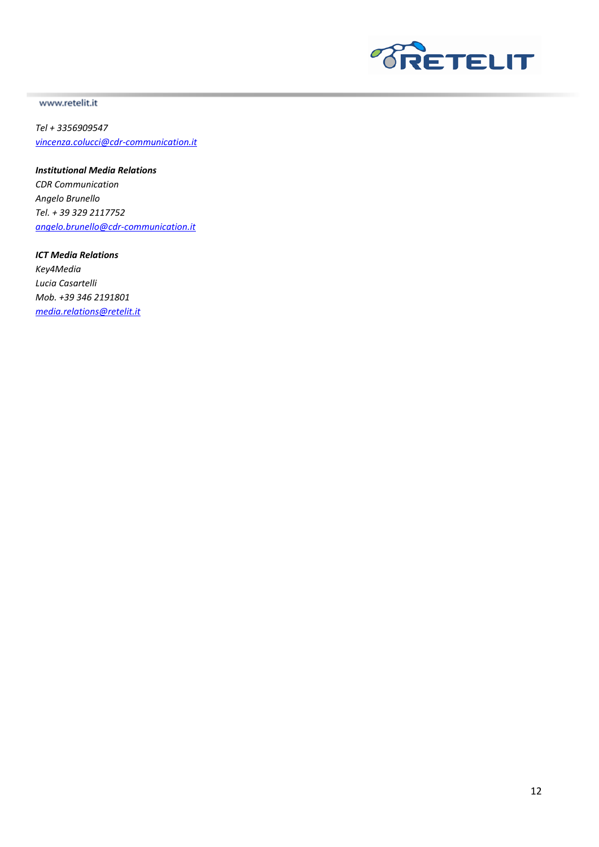

*Tel + 3356909547 [vincenza.colucci@cdr-communication.it](mailto:vincenza.colucci@cdr-communication.it)*

*Institutional Media Relations*

*CDR Communication Angelo Brunello Tel. + 39 329 2117752 [angelo.brunello@cdr-communication.it](mailto:angelo.brunello@cdr-communication.it)*

*ICT Media Relations Key4Media Lucia Casartelli Mob. +39 346 2191801 [media.relations@retelit.it](mailto:media.relations@retelit.it)*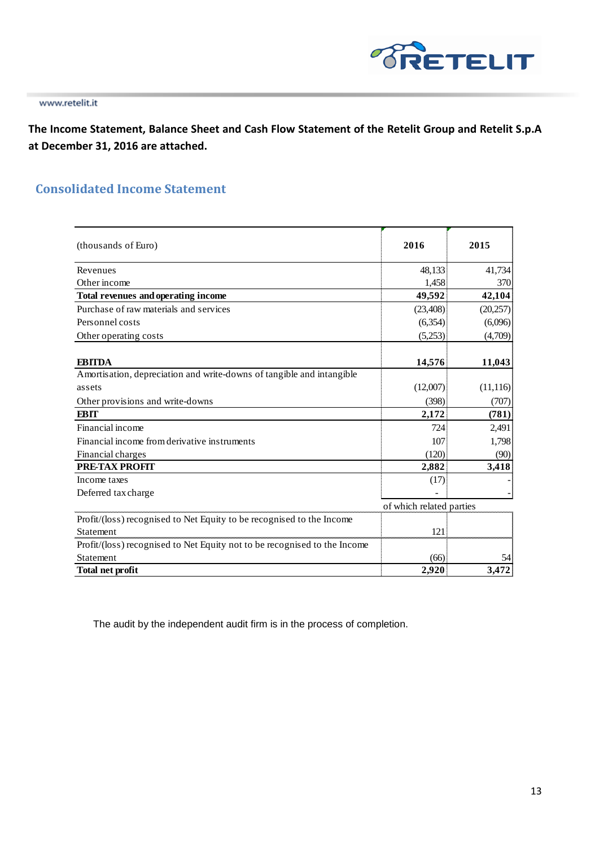

**The Income Statement, Balance Sheet and Cash Flow Statement of the Retelit Group and Retelit S.p.A at December 31, 2016 are attached.** 

## **Consolidated Income Statement**

| (thousands of Euro)                                                       | 2016                     | 2015      |
|---------------------------------------------------------------------------|--------------------------|-----------|
| Revenues                                                                  | 48,133                   | 41,734    |
| Other income                                                              | 1,458                    | 370       |
| Total revenues and operating income                                       | 49,592                   | 42,104    |
| Purchase of raw materials and services                                    | (23, 408)                | (20, 257) |
| Personnel costs                                                           | (6,354)                  | (6,096)   |
| Other operating costs                                                     | (5,253)                  | (4,709)   |
|                                                                           |                          |           |
| <b>EBITDA</b>                                                             | 14,576                   | 11,043    |
| Amortisation, depreciation and write-downs of tangible and intangible     |                          |           |
| assets                                                                    | (12,007)                 | (11, 116) |
| Other provisions and write-downs                                          | (398)                    | (707)     |
| <b>EBIT</b>                                                               | 2,172                    | (781)     |
| Financial income                                                          | 724                      | 2,491     |
| Financial income from derivative instruments                              | 107                      | 1,798     |
| Financial charges                                                         | (120)                    | (90)      |
| <b>PRE-TAX PROFIT</b>                                                     | 2,882                    | 3,418     |
| Income taxes                                                              | (17)                     |           |
| Deferred tax charge                                                       |                          |           |
|                                                                           | of which related parties |           |
| Profit/(loss) recognised to Net Equity to be recognised to the Income     |                          |           |
| Statement                                                                 | 121                      |           |
| Profit/(loss) recognised to Net Equity not to be recognised to the Income |                          |           |
| Statement                                                                 | (66)                     | 54        |
| <b>Total net profit</b>                                                   | 2,920                    | 3,472     |

The audit by the independent audit firm is in the process of completion.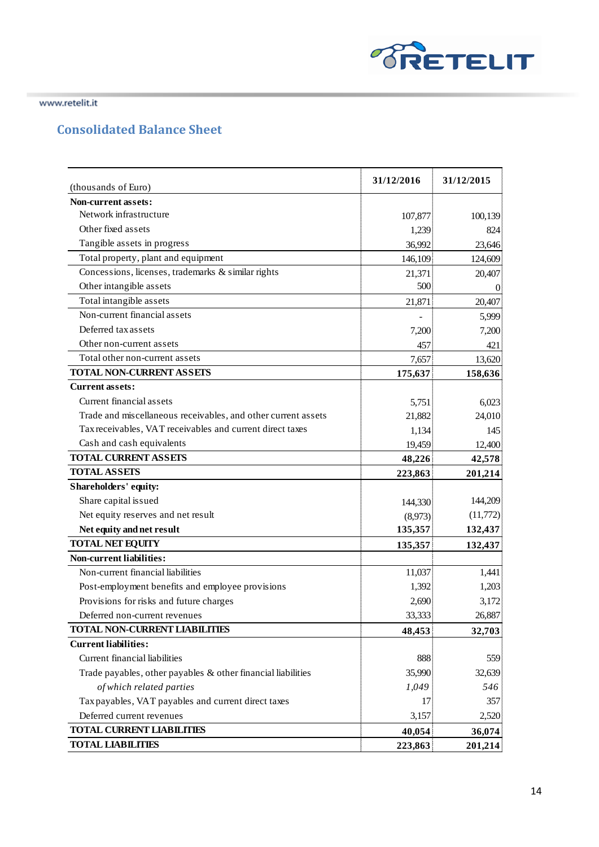

# **Consolidated Balance Sheet**

| (thousands of Euro)                                             | 31/12/2016 | 31/12/2015 |
|-----------------------------------------------------------------|------------|------------|
| Non-current assets:                                             |            |            |
| Network infrastructure                                          | 107,877    | 100,139    |
| Other fixed assets                                              | 1,239      | 824        |
| Tangible assets in progress                                     | 36,992     | 23,646     |
| Total property, plant and equipment                             | 146,109    | 124,609    |
| Concessions, licenses, trademarks & similar rights              | 21,371     | 20,407     |
| Other intangible assets                                         | 500        | 0          |
| Total intangible assets                                         | 21,871     | 20,407     |
| Non-current financial assets                                    |            | 5,999      |
| Deferred tax assets                                             | 7,200      | 7,200      |
| Other non-current assets                                        | 457        | 421        |
| Total other non-current assets                                  | 7,657      | 13,620     |
| <b>TOTAL NON-CURRENT ASSETS</b>                                 | 175,637    | 158,636    |
| <b>Current assets:</b>                                          |            |            |
| Current financial assets                                        | 5,751      | 6,023      |
| Trade and miscellaneous receivables, and other current assets   | 21,882     | 24,010     |
| Tax receivables, VAT receivables and current direct taxes       | 1,134      | 145        |
| Cash and cash equivalents                                       | 19,459     | 12,400     |
| <b>TOTAL CURRENT ASSETS</b>                                     | 48,226     | 42,578     |
| <b>TOTAL ASSETS</b>                                             | 223,863    | 201,214    |
| Shareholders' equity:                                           |            |            |
| Share capital issued                                            | 144,330    | 144,209    |
| Net equity reserves and net result                              | (8,973)    | (11,772)   |
| Net equity and net result                                       | 135,357    | 132,437    |
| <b>TOTAL NET EQUITY</b>                                         | 135,357    | 132,437    |
| <b>Non-current liabilities:</b>                                 |            |            |
| Non-current financial liabilities                               | 11,037     | 1,441      |
| Post-employment benefits and employee provisions                | 1,392      | 1,203      |
| Provisions for risks and future charges                         | 2,690      | 3,172      |
| Deferred non-current revenues                                   | 33,333     | 26,887     |
| <b>TOTAL NON-CURRENT LIABILITIES</b>                            | 48,453     | 32,703     |
| <b>Current liabilities:</b>                                     |            |            |
| Current financial liabilities                                   | 888        | 559        |
| Trade payables, other payables $\&$ other financial liabilities | 35,990     | 32,639     |
| of which related parties                                        | 1,049      | 546        |
| Tax payables, VAT payables and current direct taxes             | 17         | 357        |
| Deferred current revenues                                       | 3,157      | 2,520      |
| <b>TOTAL CURRENT LIABILITIES</b>                                | 40,054     | 36,074     |
| <b>TOTAL LIABILITIES</b>                                        | 223,863    | 201,214    |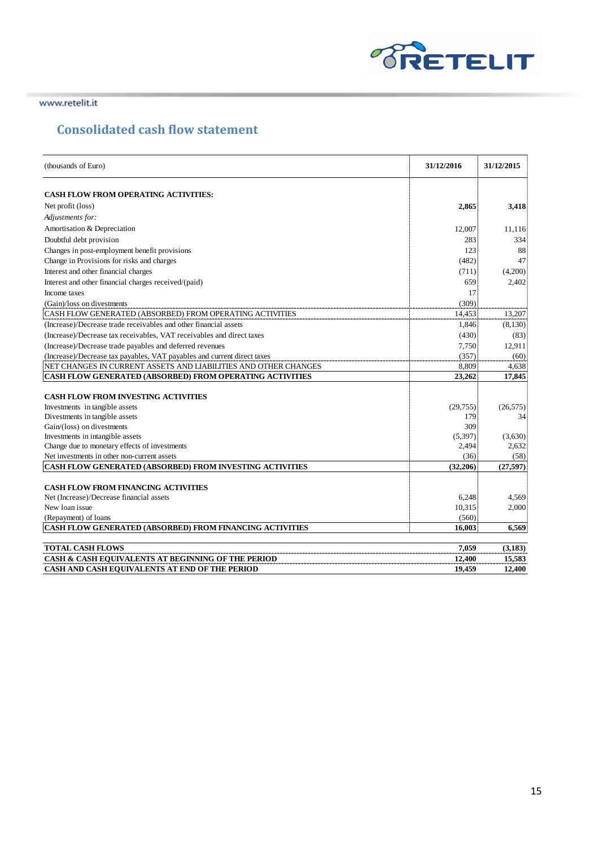

## **Consolidated cash flow statement**

| (thousands of Euro)                                                                     | 31/12/2016      | 31/12/2015 |
|-----------------------------------------------------------------------------------------|-----------------|------------|
| <b>CASH FLOW FROM OPERATING ACTIVITIES:</b>                                             |                 |            |
| Net profit (loss)                                                                       | 2,865           | 3,418      |
| Adjustments for:                                                                        |                 |            |
| Amortisation & Depreciation                                                             | 12,007          | 11,116     |
| Doubtful debt provision                                                                 | 283             | 334        |
| Changes in post-employment benefit provisions                                           | 123             | 88         |
| Change in Provisions for risks and charges                                              | (482)           | 47         |
| Interest and other financial charges                                                    | (711)           | (4,200)    |
| Interest and other financial charges received/(paid)                                    | 659             | 2,402      |
| Income taxes                                                                            | 17              |            |
| (Gain)/loss on divestments                                                              | (309)           |            |
| CASH FLOW GENERATED (ABSORBED) FROM OPERATING ACTIVITIES                                | 14,453          | 13,207     |
| (Increase)/Decrease trade receivables and other financial assets                        | 1,846           | (8,130)    |
| (Increase)/Decrease tax receivables, VAT receivables and direct taxes                   | (430)           | (83)       |
| (Increase)/Decrease trade payables and deferred revenues                                | 7,750           | 12,911     |
| (Increase)/Decrease tax payables, VAT payables and current direct taxes                 | (357)           | (60)       |
| NET CHANGES IN CURRENT ASSETS AND LIABILITIES AND OTHER CHANGES                         | 8,809           | 4,638      |
| <b>CASH FLOW GENERATED (ABSORBED) FROM OPERATING ACTIVITIES</b>                         | 23,262          | 17,845     |
|                                                                                         |                 |            |
| <b>CASH FLOW FROM INVESTING ACTIVITIES</b>                                              |                 |            |
| Investments in tangible assets                                                          | (29, 755)       | (26, 575)  |
| Divestments in tangible assets                                                          | 179             | 34         |
| Gain/(loss) on divestments                                                              | 309             |            |
| Investments in intangible assets                                                        | (5,397)         | (3,630)    |
| Change due to monetary effects of investments                                           | 2,494           | 2,632      |
| Net investments in other non-current assets                                             | (36)            | (58)       |
| CASH FLOW GENERATED (ABSORBED) FROM INVESTING ACTIVITIES                                | (32, 206)       | (27, 597)  |
|                                                                                         |                 |            |
| <b>CASH FLOW FROM FINANCING ACTIVITIES</b>                                              |                 |            |
| Net (Increase)/Decrease financial assets                                                | 6,248           | 4,569      |
| New loan issue                                                                          | 10,315<br>(560) | 2,000      |
| (Repayment) of loans<br><b>CASH FLOW GENERATED (ABSORBED) FROM FINANCING ACTIVITIES</b> | 16.003          | 6.569      |
|                                                                                         |                 |            |
| <b>TOTAL CASH FLOWS</b>                                                                 | 7.059           | (3, 183)   |
| CASH & CASH EQUIVALENTS AT BEGINNING OF THE PERIOD                                      | 12,400          | 15,583     |
| CASH AND CASH EQUIVALENTS AT END OF THE PERIOD                                          | 19,459          | 12,400     |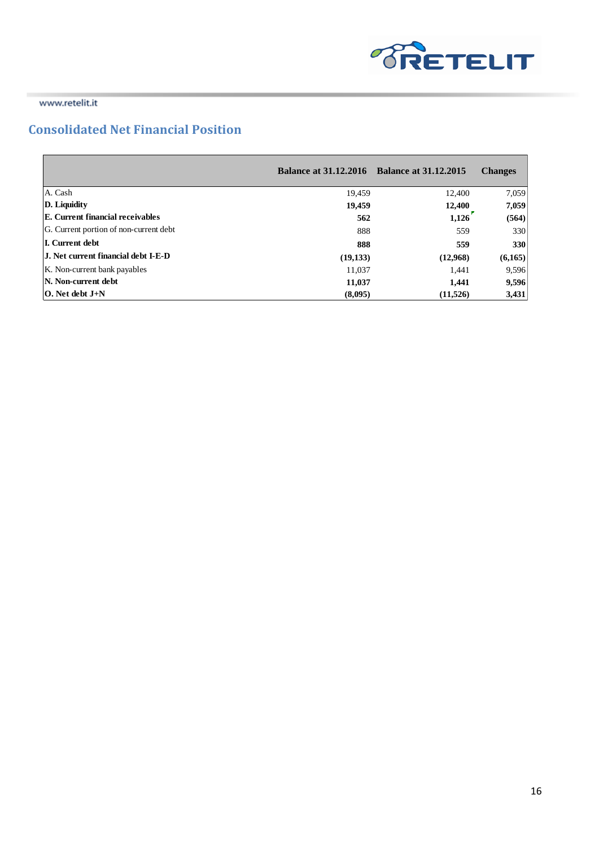

 $\blacksquare$ 

www.retelit.it

## **Consolidated Net Financial Position**

|                                            | <b>Balance at 31.12.2016</b> Balance at 31.12.2015 |          | <b>Changes</b> |
|--------------------------------------------|----------------------------------------------------|----------|----------------|
| A. Cash                                    | 19.459                                             | 12,400   | 7,059          |
| D. Liquidity                               | 19,459                                             | 12,400   | 7,059          |
| <b>E.</b> Current financial receivables    | 562                                                | 1,126    | (564)          |
| G. Current portion of non-current debt     | 888                                                | 559      | 330            |
| <b>I.</b> Current debt                     | 888                                                | 559      | 330            |
| <b>J.</b> Net current financial debt I-E-D | (19, 133)                                          | (12,968) | (6,165)        |
| K. Non-current bank payables               | 11,037                                             | 1,441    | 9,596          |
| N. Non-current debt                        | 11,037                                             | 1.441    | 9,596          |
| $\overline{O}$ . Net debt $J+N$            | (8,095)                                            | (11,526) | 3,431          |

and the control of the control of the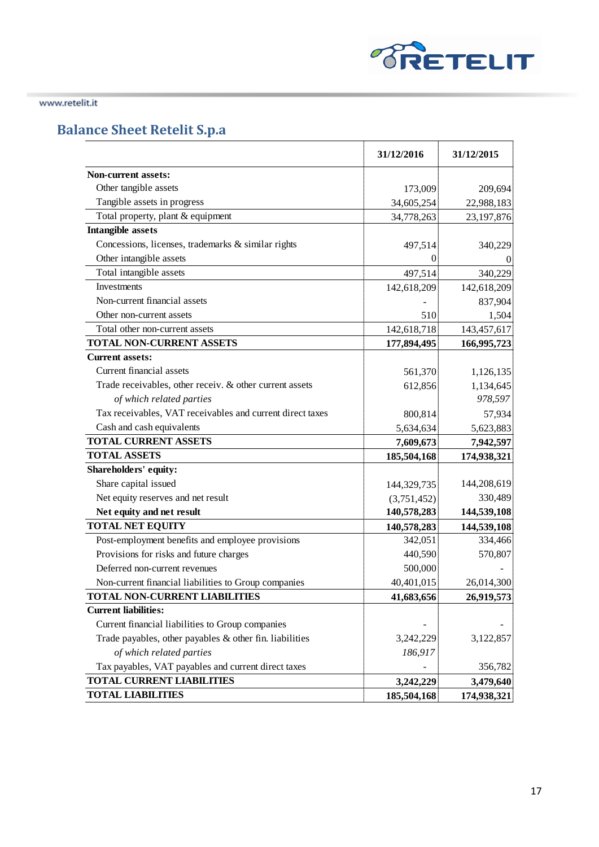

# **Balance Sheet Retelit S.p.a**

|                                                           | 31/12/2016  | 31/12/2015  |
|-----------------------------------------------------------|-------------|-------------|
| <b>Non-current assets:</b>                                |             |             |
| Other tangible assets                                     | 173,009     | 209,694     |
| Tangible assets in progress                               | 34,605,254  | 22,988,183  |
| Total property, plant & equipment                         | 34,778,263  | 23,197,876  |
| Intangible assets                                         |             |             |
| Concessions, licenses, trademarks & similar rights        | 497,514     | 340,229     |
| Other intangible assets                                   | $\theta$    |             |
| Total intangible assets                                   | 497,514     | 340,229     |
| Investments                                               | 142,618,209 | 142,618,209 |
| Non-current financial assets                              |             | 837,904     |
| Other non-current assets                                  | 510         | 1,504       |
| Total other non-current assets                            | 142,618,718 | 143,457,617 |
| TOTAL NON-CURRENT ASSETS                                  | 177,894,495 | 166,995,723 |
| <b>Current assets:</b>                                    |             |             |
| Current financial assets                                  | 561,370     | 1,126,135   |
| Trade receivables, other receiv. & other current assets   | 612,856     | 1,134,645   |
| of which related parties                                  |             | 978,597     |
| Tax receivables, VAT receivables and current direct taxes | 800,814     | 57,934      |
| Cash and cash equivalents                                 | 5,634,634   | 5,623,883   |
| <b>TOTAL CURRENT ASSETS</b>                               | 7,609,673   | 7,942,597   |
| <b>TOTAL ASSETS</b>                                       | 185,504,168 | 174,938,321 |
| Shareholders' equity:                                     |             |             |
| Share capital issued                                      | 144,329,735 | 144,208,619 |
| Net equity reserves and net result                        | (3,751,452) | 330,489     |
| Net equity and net result                                 | 140,578,283 | 144,539,108 |
| <b>TOTAL NET EQUITY</b>                                   | 140,578,283 | 144,539,108 |
| Post-employment benefits and employee provisions          | 342,051     | 334,466     |
| Provisions for risks and future charges                   | 440,590     | 570,807     |
| Deferred non-current revenues                             | 500,000     |             |
| Non-current financial liabilities to Group companies      | 40,401,015  | 26,014,300  |
| <b>TOTAL NON-CURRENT LIABILITIES</b>                      | 41,683,656  | 26,919,573  |
| <b>Current liabilities:</b>                               |             |             |
| Current financial liabilities to Group companies          |             |             |
| Trade payables, other payables $&$ other fin. liabilities | 3,242,229   | 3,122,857   |
| of which related parties                                  | 186,917     |             |
| Tax payables, VAT payables and current direct taxes       |             | 356,782     |
| TOTAL CURRENT LIABILITIES                                 | 3,242,229   | 3,479,640   |
| <b>TOTAL LIABILITIES</b>                                  | 185,504,168 | 174,938,321 |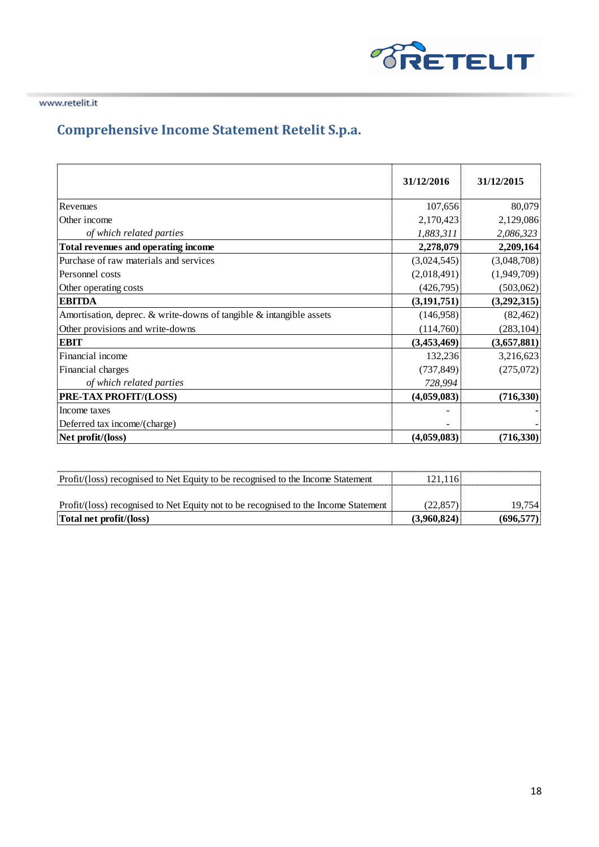

# **Comprehensive Income Statement Retelit S.p.a.**

|                                                                     | 31/12/2016    | 31/12/2015  |
|---------------------------------------------------------------------|---------------|-------------|
|                                                                     |               |             |
| Revenues                                                            | 107,656       | 80,079      |
| Other income                                                        | 2,170,423     | 2,129,086   |
| of which related parties                                            | 1,883,311     | 2,086,323   |
| Total revenues and operating income                                 | 2,278,079     | 2,209,164   |
| Purchase of raw materials and services                              | (3,024,545)   | (3,048,708) |
| Personnel costs                                                     | (2,018,491)   | (1,949,709) |
| Other operating costs                                               | (426,795)     | (503,062)   |
| <b>EBITDA</b>                                                       | (3, 191, 751) | (3,292,315) |
| Amortisation, deprec. & write-downs of tangible & intangible assets | (146,958)     | (82, 462)   |
| Other provisions and write-downs                                    | (114,760)     | (283, 104)  |
| EBIT                                                                | (3,453,469)   | (3,657,881) |
| Financial income                                                    | 132,236       | 3,216,623   |
| Financial charges                                                   | (737, 849)    | (275,072)   |
| of which related parties                                            | 728,994       |             |
| PRE-TAX PROFIT/(LOSS)                                               | (4,059,083)   | (716, 330)  |
| Income taxes                                                        |               |             |
| Deferred tax income/(charge)                                        |               |             |
| Net profit/(loss)                                                   | (4,059,083)   | (716, 330)  |

| Profit/(loss) recognised to Net Equity to be recognised to the Income Statement     |  |
|-------------------------------------------------------------------------------------|--|
| Profit/(loss) recognised to Net Equity not to be recognised to the Income Statement |  |
| Total net profit/(loss)                                                             |  |